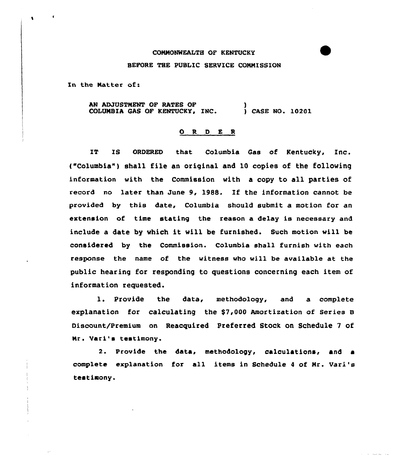## CONNONNEALTH OF KENTUCKY

## BEFORE THE PUBLIC SERVICE CONNISSION

In the Matter of:

 $\bullet$ 

AN ADJUSTMENT OF RATES OF COLUMBIA GAS OF KENTUCKY, INC. ) ) CASE NO. 10201

## O R D E R

IT IS ORDERED that Columbia Gas of Kentucky, Inc. ("Columbia") shall file an original and 10 copies of the following information with the Commission with a copy to all parties of record no later than June 9, 198S. If the information cannot be provided by this date, Columbia should submit a motion for an extension of time stating the reason a delay is necessary and include a date by which it will be furnished. Such motion will be considered by the Commission. Columbia shall furnish with each response the name of the witness who will be available at the public hearing for responding to questions concerning each item of information requested.

1. Provide the data, methodology, and <sup>a</sup> complete explanation for calculating the \$7,000 Amortization of series <sup>B</sup> Discount/Premium on Reacquired Preferred Stock on Schedule 7 of Mr. Vari's testimony.

2. Provide the data, methodology, calculations, and a complete explanation for all items in Schedule <sup>4</sup> of Nr. Vari 's testimony.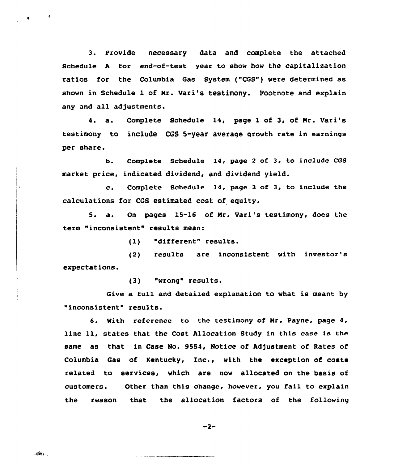3. Provide necessary data and complete the attached Schedule <sup>A</sup> for end-of-test year to show how the capitalization ratios for the Columbia Gas System ("CGS") were determined as shown in Schedule 1 of Mr. Vari's testimony. Footnote and explain any and all adjustments.

4. a. Complete Schedule 14, page 1 of 3, of Mr. Vari's testimony to include CGS 5-year average growth rate in earnings per share.

b. Complete Schedule l4, page <sup>2</sup> of 3, to include CGS market price, indicated dividend, and dividend yield.

c. Complete Schedule 14, page <sup>3</sup> of 3, to include the calculations for CGS estimated cost of equity.

5. a. On pages 15-16 of Mr. Vari's testimony, does the term "inconsistent" results mean:

(1) "different" results.

expectations. (2) results are inconsistent with investor's

(3) "wrong" results.

Give a full and detailed explanation to what is meant by "inconsistent" results.

6. With reference to the testimony of Mr. Payne, page 4, line ll, states that the Cast Allocation Study in this case is the same as that in Case No. 9554, Notice of Adjustment of Rates of Columbia Gas of Kentucky, Inc., with the exception of costs related to services, which are now allocated on the basis of customers. Other than this change, however, you fail to explain the reason that the allocation factors of the fallowing

 $-2-$ 

والمختار

 $\overline{\phantom{a}}$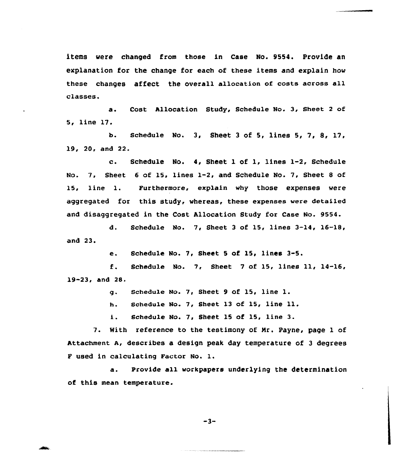items were changed from those in Case No. 9554. Provide an explanation for the change for each of these items and explain hov these changes affect the overall allocation of costs across all classes.

a. Cost Allocation Study, Schedule No. 3, Sheet <sup>2</sup> of 5, line 17.

b. Schedule No. 3, Sheet 3 of 5, lines  $5, 7, 8, 17$ , 19, 20, and 22.

c. Schedule No. 4y Sheet <sup>1</sup> of 1, lines 1-2, Schedule No. 7, Sheet <sup>6</sup> of 15, lines 1-2, and Schedule No. 7, Sheet 8 of 15, line 1. Furthermore, explain vhy those expenses vere aggregated for this study, whereas, these expenses vere detailed and disaggregated in the Cost Allocation Study for Case No. 9554.

d. Schedule No. 7, Sheet 3 of 15, lines  $3-14$ ,  $16-18$ , and 23.

e. Schedule No. 7, Sheet 5 of 15, lines 3-5.

f. Schedule No. 7, Sheet <sup>7</sup> of 15, lines ll, 14-16, 19™23,and 28.

g. schedule No. 7, sheet <sup>9</sup> of 15, line l.

h. schedule No. 7, Sheet 13 of 15, line 11.

i. Schedule No. 7, Sheet <sup>15</sup> of 15, line 3.

7. With reference to the testimony of Nr. Payne, page 1 of Attachment A, describes a design peak day temperature of 3 degrees <sup>F</sup> used in calculating Factor No. l.

a. Provide all vorkpapers underlying the determination of this mean temperature.

 $-3-$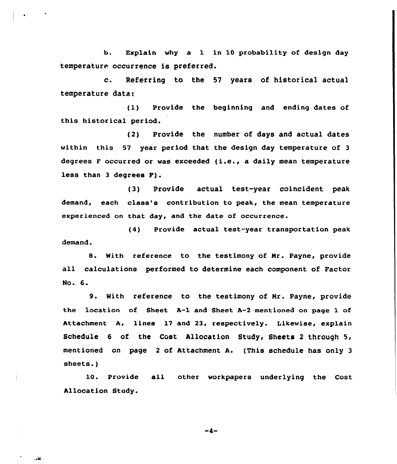b. Explain why a 1 in 10 probability of design day temperature occurrence is preferred.

c. Referring to the <sup>57</sup> years of historical actual temperature data:

(1) Provide the beginning and ending dates of this historical period.

(2) Provide the number of days and actual dates within this 57 year period that the design day temperature of <sup>3</sup> degrees <sup>F</sup> occurred or was exceeded (i.e., <sup>a</sup> daily mean temperature less than <sup>3</sup> degrees P).

(3) Provide actual test-year coincident peak demand, each class's contribution to peak, the mean temperature experienced on that day, and the date of occurrence.

(4) Provide actual test-year transportation peak  $d$ emand $\cdot$ 

8. With reference to the testimony of Nr. Payne, provide all calculations performed to determine each component of Factor No. 6.

9. With reference to the testimony of Nr. Payne, provide the location of Sheet A-1 and Sheet A-2 mentioned on page 1 of Attachment A, lines 17 and 23, respectively. Likewise, explain Schedule 6 of the Cost Allocation Study, Sheets <sup>2</sup> through 5, mentioned on page <sup>2</sup> of Attachment A. (This schedule has only 3 sheets.)

10. Provide all other workpapers underlying the Cost Allocation Study.

 $-4-$ 

. عاند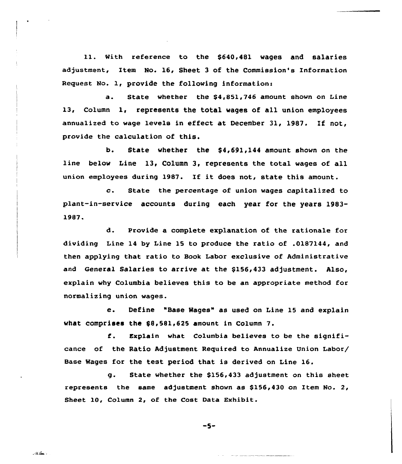11. with reference to the \$640,481 wages and salaries adjustment, Item No. 16, Sheet 3 of the Commission's Information Request No. 1, provide the following information:

a. State whether the \$<sup>4</sup> 851,746 amount shown on Line 13, Column 1, represents the total wages of all union employees annualized to wage levels in effect at December 31, 1987, If not, provide the calculation of this.

b. State whether the \$4,691,144 amount shown on the line below Line 13, Column 3, represents the total wages of all union employees during 1987. If it does not, state this amount.

c. State the percentage of union wages capitalized to plant-in-service accounts during each year for the years 1983- 1987.

d. Provide a complete explanation of the rationale for dividing Line 14 by Line 15 to produce the ratio of .0187144, and then applying that ratio to Book Labor exclusive of Administrative and General Salaries to arrive at the \$156,433 adjustment. Also, explain why Columbia believes this to be an appropriate method for normalizing union wages.

e. Define "Base Wages" as used on Line 15 and explain what comprises the \$8,581,625 amount in Column 7.

 $f$ . Explain what Columbia believes to be the significance of the Ratio Adjustment Reguired to Annua1ize Union Labor/ Base Wages for the test period that is derived on Line 16.

g. State whether the \$156,433 adjustment on this sheet represents the same adjustment shown as \$156,430 on Item No. 2, Sheet 10, Column 2, of the Cost Data Exhibit.

 $-5-$ 

 $\Delta$  , and  $\Delta$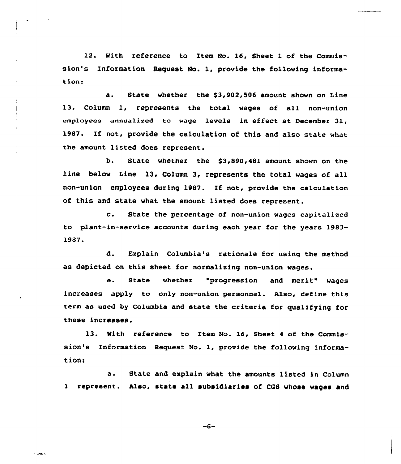12. With reference to Item No. 16, Sheet 1 of the Commission's Information Request No. 1, provide the following information:

a. State whether the \$3,902,506 amount shown on Line 13, Column 1, represents the total wages of all non-union employees annualized to wage levels in effect at December 31, 1987. If not, provide the calculation of this and also state what the amount listed does represent.

b. State whether the \$3,890,481 amount shown on the line below Line 13, Column 3, represents the total wages of all non-union employees during 1987. If not, provide the calculation of this and state what the amount listed does represent.

c. State the percentage af non-union wages capitalized to plant-in-service accounts during each year for the years 1983-1987.

d. Explain Columbia's rationale for using the method as depicted on this sheet for normalizing non-union wages.

e. State whether "progression and merit" wages increases apply to only non-union personnel. Also, define this term as used by Columbia and state the criteria for qualifying for these increases.

13. With reference to Item No. 16, Sheet 4 of the Commission's Information Request No. 1, provide the following information:

a. State and explain what the amounts listed in Column <sup>1</sup> represent. Also, state all subsidiaries of CQS whose wages and

 $-6-$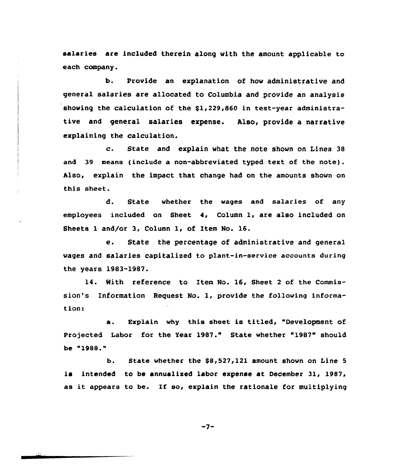salaries are included therein along with the amount applicable to each company.

b. Provide an explanation of how administrative and general salaries are allocated to Columbia and provide an analysis showing the calculation of the  $$1,229,860$  in test-year administrative and general salaries expense. Also, provide a narrative explaining the calculation.

c. State and explain what the note shown on Lines <sup>38</sup> and 39 means (include a non-abbreviated typed text of the note). Also, explain the impact that change had on the amounts shown on this sheet.

d. State whether the wages and salaries of any employees included on Sheet 4, Column 1, are also included on Sheets 1 and/or 3, Column 1, of Item No. 16.

e. State the percentage of administrative and general wages and salaries capitalised to plant-in-service accounts during the years 1983-1987.

14. With reference to Item No. 16, Sheet <sup>2</sup> of the Commission's Information Request No. 1, provide the following information:

a. Explain why this sheet is titled, "Development of Projected Labor for the Year 1987." State whether "1987" should be "1988

b. State whether the 88,527,121 amount shown on Line <sup>5</sup> is intended to be annualized labor expense at December 31, 1987, as it appears to be. If so, explain the rationale for multiplying

 $-7-$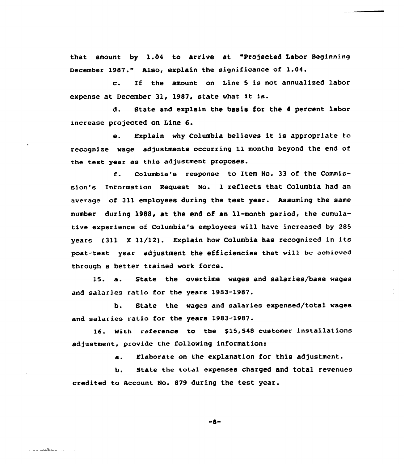that amount by 1.04 to arrive at "Projected Labor Beginning December 1987." Also, explain the significance of 1.04.

c. If the amount on Line <sup>5</sup> is not annualized labor expense at December 31, 1987, state what it is.

d. State and explain the basis for the 4 percent labor increase projected on Line 6.

e. Explain why Columbia believes it is appropriate to recognize wage adjustments occurring ll months beyond the end of the test year as this adjustment proposes.

columbia's response to Item No. 33 of the Commis $f$ . sion's Information Request No. 1 reflects that Columbia had an average of 311 employees during the test year. Assuming the same number during 1988, at the end of an ll-month period, the cumulative experience of Columbia's employees will have increased by 285 years (311 <sup>X</sup> ll/12). Explain how Columbia has recognized in its post-test year adjustment the efficiencies that will be achieved through a better trained work force.

15. a. State the overtime wages and salaries/base wages and salaries ratio for the years 1983-1987.

b. State the wages and salaries expensed/total wages and salaries ratio for the years 19&3-1987.

16. With reference to the \$15,548 customer installations adjustment, provide the following information:

a. Elaborate on the explanation for this adjustment.

b. state the total expenses charged and total revenues credited to Account No. 879 during the test year.

 $-8-$ 

المستقلعتين للمراد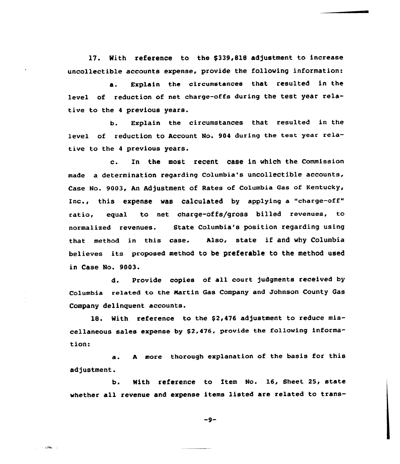17. Nith reference to the \$339,818 adjustment to increase uncollectible accounts expense, provide the following information:

a. Explain the circumstances that resulted in the level of reduction of net charge-offs during the test year relative to the <sup>4</sup> previous years.

b. Explain the circumstances that resulted in the level of reduction to Account No. <sup>904</sup> during the test year relative to the <sup>4</sup> previous years.

c. In the most recent case in which the Commission made a determination regarding Columbia's uncollectible accounts, Case No. 9003, An Adjustment of Rates of Columbia Gas of Kentucky, Inc., this expense was calculated by applying a "charge-off" ratio, equal to net charge-offs/gross billed revenues, to normalized revenues. State Columbia's position regarding using that method in this case. Also, state if and why Columbia believes its proposed, method to be preferable to the method used in Case No. 9003.

d. Provide copies of all court )udgments received by Columbia related to the Martin Gas Company and Johnson County Gas Company delinquent accounts.

18. With reference to the  $$2,476$  adjustment to reduce miscellaneous sales expense by \$2,476, provide the following information:

a. <sup>A</sup> more thorough explanation of the basis for this adjustment.

b. With reference to Item No. 16, Sheet 25, state whether all revenue and expense items listed are related to trans-

 $-9-$ 

للمتحدث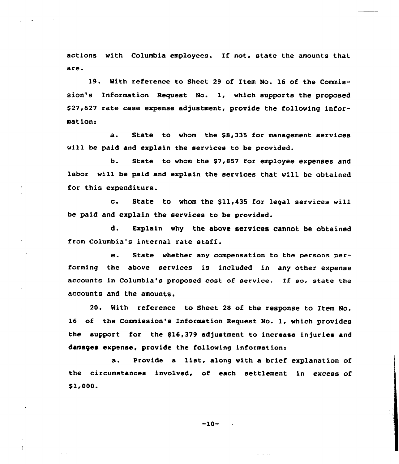actions with Columbia employees. If not, state the amounts that are.

19. With reference to Sheet 29 of Item No. 16 of the Commission's Information Request No. 1, which supports the proposed \$ 27,627 rate case expense adjustment, provide the following information:

a. State to whom the \$8,335 for management services will be paid and explain the services to be provided.

b. State to whom the \$7,857 for employee expenses and labor will be paid and explain the services that will be obtained for this expenditure.

c. State to whom the \$11,435 for legal services will be paid and explain the services to be provided.

d. Explain why the above services cannot be obtained from Columbia's internal rate staff.

e. State whether any compensation to the persons performing the above services is included in any other expense accounts in Columbia's proposed cost of service. If so, state the accounts and the amounts.

20. With reference to Sheet 28 of the response to Item No. 16 of the Commission's Information Request No. 1, which provides the support for the \$16,379 adjustment to increase injuries and damages expense, provide the following information:

a. Provide <sup>a</sup> list, along with a brief explanation of the circumstances involved, of each settlement in excess of \$1,000.

-10-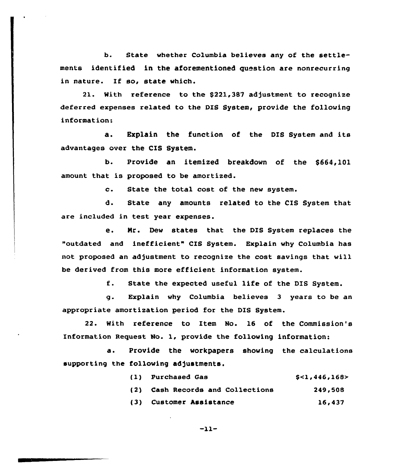b. State whether Columbia be1ieves any of the settlements identified in the aforementioned question are nonrecurring in nature. If so, state which.

21. With reference to the \$221,387 adjustment to recognize deferred expenses related to the DIS System, provide the following information:

a. Explain the function of the DIS System and its advantages over the CIS System.

b. Provide an itemized breakdown of the \$664,101 amount that is proposed to be amortized.

c. State the total cost of the new system.

d. State any amounts related to the CIS System that are included in test year expenses.

e. Nr. Dew states that the DIS System replaces the "outdated and inefficient" CIS System. Explain why Columbia has not proposed an adjustment to recognize the cost savings that will be derived from this more efficient information system.

f. State the expected useful life of the DIS System.

g. Explain why Columbia believes 3 years to be an appropriate amortization period for the DIS System.

22. With reference to Item No. 16 of the Commission's Information Request No. 1, provide the following information:

a. Provide the workpapers showing the calculations supporting the following adjustments.

|     | (1) Purchased Gas                | S<1.446.168> |
|-----|----------------------------------|--------------|
|     | (2) Cash Records and Collections | 249,508      |
| (3) | Customer Assistance              | 16,437       |

$$
-11-
$$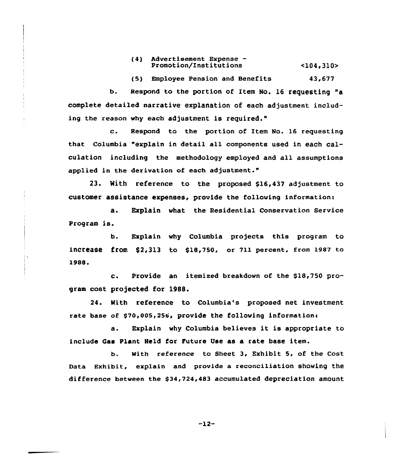(4) Advertisement Expense— Promotion/Institutions  $<$ 104,310>

(5) Employee Pension and Benefits 43,677

b. Respond to the portion of Item No. 16 requesting "a complete detailed narrative explanation of each adjustment including the reason why each adjustment is required."

c. Respond to the portion of Item No. <sup>16</sup> requesting that Columbia "explain in detail all components used in each calculation including the methodology employed and all assumptions applied in the derivation of each adjustment."

23. With reference to the proposed \$16,437 adjustment to customer assistance expenses, provide the following information:

a. Explain what the Residential Conservation Service Program is,

b. Explain why Columbia projects this program to increase from  $$2,313$  to  $$18,750$ , or 711 percent, from 1987 to 1988.

4.

c. Provide an itemixed breakdown of the \$18,750 program cost projected for 1988.

24. Kith reference to Columbia's proposed net investment rate base of \$70,005,256, provide the following information:

a. Explain why Columbia believes it is appropriate to include Gas Plant Held for Future Use as a rate base item.

b. With reference to Sheet 3, Exhibit 5, of the Cost Data Exhibit, explain and provide a reconciliation showing the difference between the \$34,724,483 accumulated depreciation amount

 $-12-$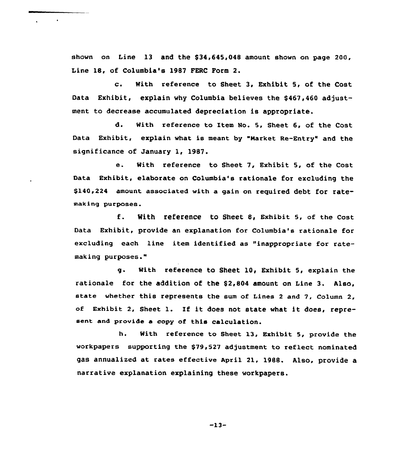shown on Line 13 and the \$34,645,048 amount shown on page 200, Line 18, of Columbia's 1987 FERC Form 2.

c. With reference to Sheet 3, Exhibit 5, of the Cost Data Exhibit, explain why Columbia believes the \$467,460 adjustment to decrease accumulated depreciation is appropriate.

d. With reference ta Item No. 5, Sheet 6, of the Cost Data Exhibit, explain what is meant by "Market Re-Entry" and the significance of January 1, 1987.

e. With reference to Sheet 7, Exhibit 5, of the Cost Data Exhibit, elaborate on Columbia's rationale for excluding the \$140,224 amount associated with a gain on required debt for ratemaking purposes.

f. With reference to Sheet 8, Exhibit 5, of the Cost Data Exhibit, provide an explanation for Columbia's rationale for excluding each line item identified as "inappropriate for ratemaking purposes."

g. With reference to Sheet 10, Exhibit 5, explain the rationale for the addition of the \$2,804 amount on Line 3. Also, state whether this represents the sum of Lines 2 and 7, Column 2, of Exhibit 2, Sheet 1. If it does not state what it does, represent and provide a copy of this calculation.

h. With reference to Sheet 13, Exhibit 5, provide the warkpapers supporting the \$79,527 adjustment to reflect nominated gas annualized at rates effective April 21, 1988. Also, provide a narrative explanation explaining these workpapers.

 $-13-$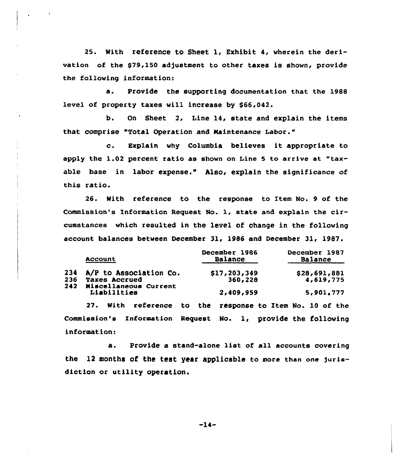25. With reference to Sheet 1, Exhibit 4, wherein the derivation of the \$79,150 adjustment to other taxes is shown, provide the following information:

Provide the supporting documentation that the 1988 a. level of property taxes vill increase by \$66,042.

b. On Sheet 2, Line 14, state and explain the items that comprise "Total Operation and Maintenance Labor."

c. Explain why Columbia believes it appropriate to apply the  $1.02$  percent ratio as shown on Line 5 to arrive at "taxable base in labor expense." Also, explain the significance of this ratio.

26. With reference to the response ta Item No. 9 af the Commission's Information Request No. 1, state and explain the circumstances which resulted in the level of change in the following account balances between December 31, 1986 and December 31, 1987.

|            | Account                                       | December 1986<br>Balance | December 1987<br>Balance |
|------------|-----------------------------------------------|--------------------------|--------------------------|
| 234        | A/P to Association Co.                        | \$17,203,349             | \$28,691,881             |
| 236<br>242 | <b>Taxes Accrued</b><br>Miscellaneous Current | 360,228                  | 4,619,775                |
|            | Liabilities                                   | 2,409,959                | 5,901,777                |
|            |                                               |                          |                          |

27. With reference to the response to Item No. l0 of the Commission's Information Request No. 1, provide the following information:

a. Provide <sup>a</sup> stand-alone list of all accounts covering the 12 months of the test year applicable to more than one furisdiction ar utility operation.

-14-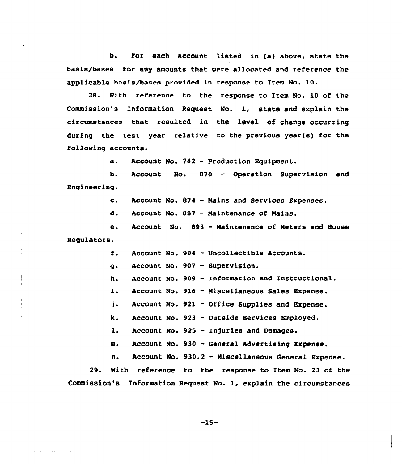b. FOr each aCCOunt listed in (a) above, state the basis/bases for any amounts that were allocated and reference the applicable basis/bases provided in response to Item No. 10.

28. With reference to the response to Item No. 10 of the Commission's Information Request No. 1, state and explain the circumstances that reaulted in the leVel Of Change OCCurring during the test year relative to the previous year(s) for the following accounts.

> a ~ Account No. <sup>742</sup> - Production Equipment.

b. Engineering. Account No. 870 — Operation Supervision and

> $c<sub>1</sub>$ Account No. 874 - Mains and Services Expenses.

d. Account No. 887 - Maintenance of Mains.

e. Regulators. Account No. 893 - Maintenance of Meters and House

> $f$ . Account No. 904 - Uncollectible Accounts.

Account No. 907 - Supervision.  $\ddot{\mathbf{q}}$ .

h. Account No. 909 - Information and Instructional.

i. Account No. 916 - Miscellaneous Sales Expense.

j. Account No. 921 - Office Supplies and Expense.

k. Account No. 923 - Outside Services Employed.

 $\mathbf{1}$ . Account No. 925 — Injuries and Damages.

Account No. <sup>930</sup> - General Advertising Expense. m.

n. Account No. 930.2 - Miscellaneous General Expense.

29. Nith reference to the response to Item No. 23 of the Commission's Information Request No. 1, explain the circumstances

 $-15-$ 

 $\sim 100$  km s  $^{-1}$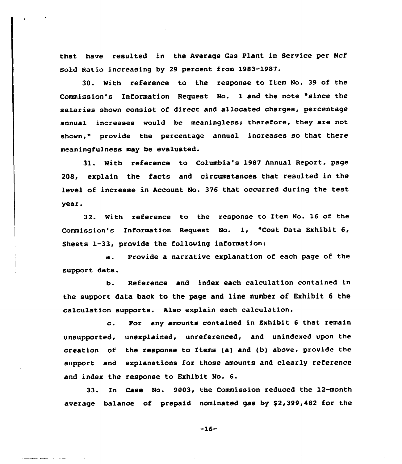that have resulted in the Average Gas Plant in Service per Hcf Sold Ratio increasing by 29 percent from 1983-1987.

30. With reference to the response to Item No. 39 of the Commission's Information Request No. 1 and the note "since the salaries shown consist of direct and allocated charges, percentage annual increases would be meaningless; therefore, they are not shown," provide the percentage annual increases so that there meaningfulness may be evaluated.

31. With reference to Columbia's 1987 Annual Report, page 208, explain the facts and circumstances that resulted in the level of increase in Account No. 376 that occurred during the test year.

32. With reference to the response to Item No. 16 of the Commission's Information Request No. 1, "Cost Data Exhibit 6, Sheets 1-33, provide the following information:

a. Provide a narrative explanation of each page of the support data.

b. Reference and index each calculation contained in the support data back to the page and line number of Exhibit 6 the calculation supports. Also explain each calculation.

c. For any amounts contained in Exhibit <sup>6</sup> that remain unsupported, unexplained, unreferenced, and unindexed upon the creation of the response to Items (a) and (b) above, provide the support and explanations for those amounts and clearly reference and index the response to Exhibit No. 6.

33. In Case No. 9003, the Commission reduced the 12-month average balance of prepaid nominated gas by \$2,399,482 for the

-16-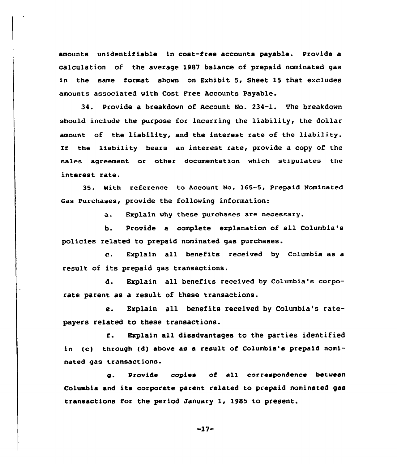amounts unidentifiable in cost-free accounts payable. Provide a calculation of the average 1987 balance of prepaid nominated gas in the same format shown on Exhibit 5, Sheet 15 that excludes amounts associated with Cost Free Accounts Payable.

34. Provide a breakdown of Account No. 234-1. The breakdown should include the purpose for incurring the liability, the dollar amount of the liability, and the interest rate of the liability. If the liability bears an interest rate, provide a copy of the sales agreement or other documentation which stipulates the interest rate.

35. With reference to Account No. 165-5, Prepaid Nominated Gas Purchases, provide the following information:

a. Explain why these purchases are necessary.

b. Provide a complete explanation of all Columbia's policies related to prepaid nominated gas purchases.

c. Explain all benefits received by Columbia as <sup>a</sup> result of its prepaid gas transactions.

d. Explain all benefits received by Columbia's corporate parent as a result of these transactions.

e. Explain all benefits received by Columbia's ratepayers related to these transactions.

f. Explain all disadvantages to the parties identified in (c) through (d) above as a result of Columbia's prepaid nominated gas transactions.

g. Provide copies of all correspondence between Columbia and its corporate parent related to prepaid nominated gas transactions for the period January 1, 1985 to present.

 $-17-$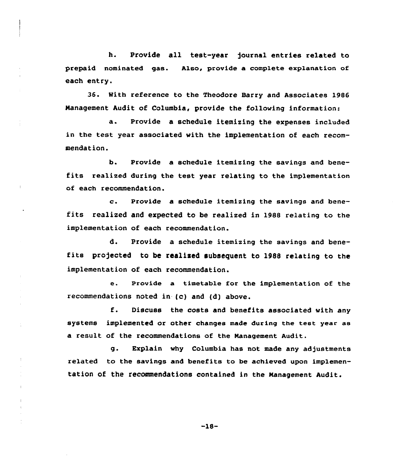h. Provide all test-year journal entries related to prepaid nominated gas. Also, provide a complete explanation of each entry.

36. With reference to the Theodore Barry and Associates 1986 Nanagement Audit of Columbia, provide the following information:

a. Provide <sup>a</sup> schedule itemizing the expenses included in the test year associated with the implementation of each recommendation.

b. Provide a schedule itemizing the savings and benefits realised during the test year relating to the implementation of each recommendation.

c. Provide <sup>a</sup> schedule itemizing the savings and benefits realized and expected to be realized in 1988 relating to the implementation of each recommendation.

d. Provide a schedule itemizing the savings and benefits pro)ected to be realised subsequent to <sup>1988</sup> relating to the implementation of each recommendation.

e. Provide a timetable for the implementation of the recommendations noted in {c) and (d) above.

f. Discuss the costs and benefits associated with any systems implemented or other changes made during the test year as a result of the recommendations of the Management Audit.

g. Explain why Columbia has not made any adjustments re1ated to the savings and benefits to be achieved upon implementation of the recommendations contained in the Management Audit.

 $-18-$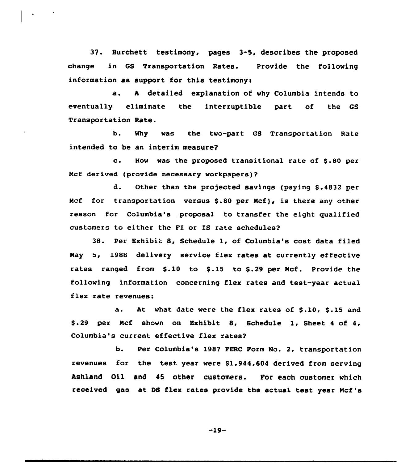37. Burchett testimony, pages 3-5, describes the proposed change in GS Transportation Rates. Provide the following information as support for this testimony:

a. <sup>A</sup> detailed explanation of why Columbia intends to eventually eliminate the interruptible part of the GS Transportation Rate.

b. Why was the two-part GS Transportation Rate intended to be an interim measure?

c. How was the proposed transitional rate of \$.80 per Ncf derived (provide necessary workpapers)?

d. Other than the projected savings (paying \$.4832 per Mcf for transportation versus \$.80 per Mcf), is there any other reason for Columbia's proposal to transfer the eight qualified customers to either the FI or IS rate schedules?

38. Per Exhibit 8, Schedule 1, of Columbia's cost data filed Nay 5, 198& delivery service flex rates at currently effective rates ranged from \$.10 to \$.15 to \$.29 per Mcf. Provide the following information concerning flex rates and test-year actual flex rate revenues:

a. At what date were the flex rates of \$.10, \$.15 and \$ .29 per Ncf shown on Exhibit 8, Schedule 1, Sheet <sup>4</sup> of 4, Columbia's current effective flex rates?

b. Per Columbia's 1987 FERC Form No. 2, transportation revenues for the test year were \$1,944,604 derived from serving Ashland Oil and 45 other customers. For each customer which received gas at DS flex rates provide the actual test year Mcf's

-19-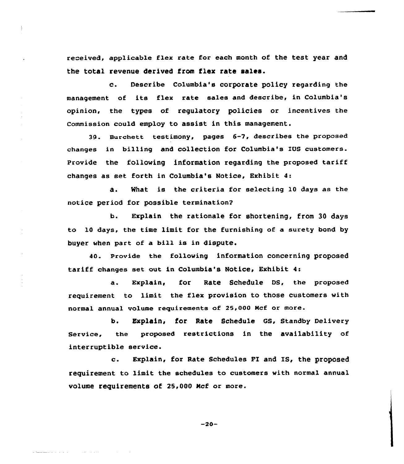received, applicable flex rate for each month of the test year and the total revenue derived from flex rate sales.

c. Describe Columbia's corporate policy regarding the management of its flex rate sales and describe, in Columbia's opinion, the types of regulatory policies or incentives the Commission could employ to assist in this management.

39. Burchett testimony, pages 6-7, describes the proposed changes in billing and collection for Columbia's IUS customers. Provide the following information regarding the proposed tariff changes as set forth in Columbia's Notice, Exhibit 4:

a. %hat is the criteria for selecting 10 days as the notice period for possible termination2

b. Explain the rationale for shortening, from 30 days to 10 days, the time limit for the furnishing of a surety bond by buyer when part of a bill is in dispute.

40. Provide the following information concerning proposed tariff changes set out in Columbia's Notice, Exhibit 4s

a. Explain, for Rate schedule Ds, the proposed requirement to limit the flex provision to those customers with normal annual volume requirements of 25,000 Mcf or more.

b. Explain, for Rate Schedule GS, Standby Delivery Service, the proposed restrictions in the availability of interruptible service.

c. Explain, for Rate Schedules FI and IS, the proposed requirement to limit the schedules to customers with normal annual volume requirements of 25,000 Ncf or more.

-20-

التحالف الفيزان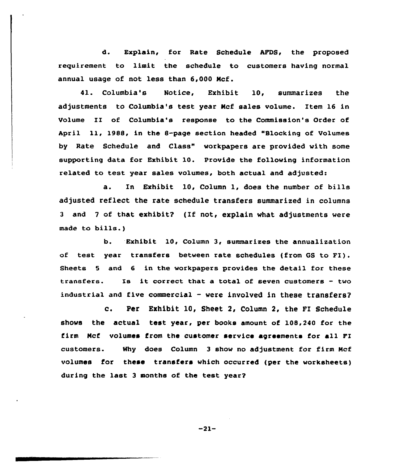d. Explain, for Rate Schedule APDS, the proposed requirement to limit the schedule to customers having normal annual usage of not less than 6,000 Ncf.

41. Columbia's Notice, Exhibit 10, summarizes the adjustments to Columbia's test year Ncf sales volume. Item 16 in Volume II of Columbia's response to the Commission's Order of April ll, 1988, in the 8-page section headed "Blocking of Volumes by Rate Schedule and Class" workpapers are provided with some supporting data for Exhibit 10. Provide the following information related to test year sales volumes, both actual and adjusted:

a. In Exhibit 10, Column 1, does the number of bills adjusted reflect the rate schedule transfers summarized in columns 3 and 7 of that exhibit? (If not, explain what adjustments were made to bills.)

b. Exhibit 10, Column 3, summarizes the annualization of test year transfers between rate schedules (from GS to FI). Sheets <sup>5</sup> and 6 in the workpapers provides the detail for these transfers. Is it correct that <sup>a</sup> total of seven customers - two industrial and five commercial  $-$  were involved in these transfers?

 $c_{\bullet}$ Per Exhibit 10, Sheet 2, Column 2, the FI Schedule shows the actual test year, per books amount of 108,240 for the firm Ncf volumes from the customer service agreements for all FI customers. Why does Column 3 show no adjustment for firm Ncf volumes for these transfers which occurred (per the worksheets) during the last <sup>3</sup> months of the test year?

 $-21-$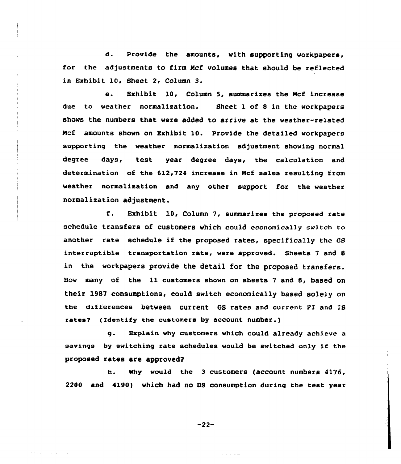d. Provide the amounts, with supporting workpapers, for the adjustments to firm Ncf volumes that should be reflected in Exhibit 10, Sheet 2, Column 3.

e. Exhibit 10, Column 5, summarizes the Ncf increase due to weather normalization. Sheet 1 of 8 in the workpapers shows the numbers that were added to arrive at the weather-related Ncf amounts shown on Exhibit 10. Provide the detailed workpapers supporting the weather normalization adjustment showing normal degree days, test year degree days, the calculation and determination of the 612,724 increase in Ncf sales resulting from weather normalization and any other support for the weather normalization adjustment.

f. Exhibit 10, Column 7, summarizes the proposed rate schedule transfers of customers which could economically switch to another rate schedule if the proposed rates, specifically the GS interruptible transportation rate, were approved. Sheets 7 and 8 in the workpapers provide the detail for the proposed transfers. How many of the 11 customers shown on sheets <sup>7</sup> and 8, based on their 1987 consumptions, could switch economically based solely on the differences between current GS rates and current FI and IS rates? (Identify the customers by account number.)

g. Explain why customers which could already achieve a savings by switching rate schedules would be switched only if the proposed rates are approved2

h. why wou1d the 3 customers (account numbers 4176, 2200 and 4190) which had no 08 consumption during the test year

-22-

 $\alpha$  sund as  $\beta = \beta + \beta + \beta$  .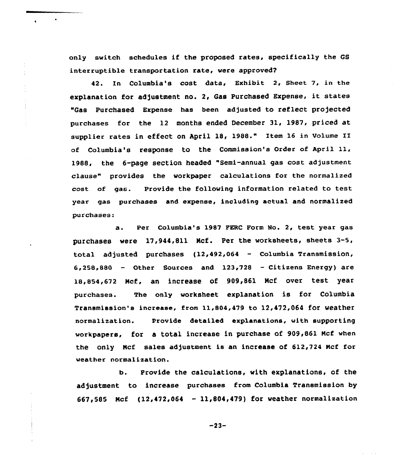only switch schedules if the proposed rates, specifically the GS interruptible transportation rate, were approved?

42. In Columbia's cost data, Exhibit 2, Sheet 7, in the explanation for adjustment no. 2, Gas Purchased Expense, it states "Gas Purchased Expense has been adjusted to reflect projected purchases for the 12 months ended December 31, 1987, priced at supplier rates in effect on April 18, 1988." Item <sup>16</sup> in Volume II of Columbia's response to the Commission's Order of April ll, 1988, the 6-page section headed "Semi-annual gas cost adjustment clause" provides the workpaper calculations for the normalized cost of gas. Provide the following information related to test year gas purchases and expense, including actual and normalized purchases:

a. Per Columbia's 1987 FERC Form No. 2, test year gas purchases were 17,944,811 Mcf. Per the worksheets, sheets 3-5, total adjusted purchases {12>492,064 — Columbia Transmission,  $6,258,880$  - Other Sources and  $123,728$  - Citizens Energy) are 18,854,672 Mcf, an increase of 909,861 Mcf over test year purchases. The only worksheet explanation is for Columbia Transmission's increase, from ll,S04,479 to 12,472,064 for weather normalization. Provide detailed explanations, with supporting workpapers, for a total increase in purchase of 909,861 Mcf when the only Mcf sales adjustment is an increase of  $612,724$  Mcf for weather normalization.

b. Provide the calculations, with explanations, of the adjustment to increase purchases from Columbia Transmission by 667,585 Ncf (12,472,064 — 11,804,479} for weather normalization

 $-23-$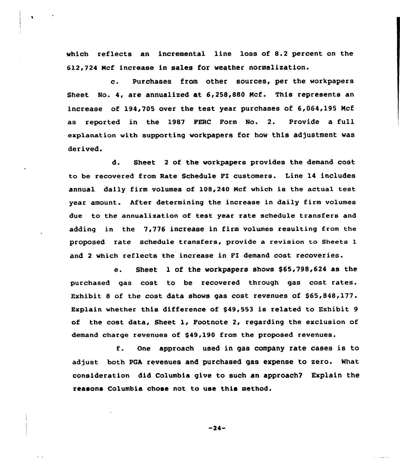which reflects an incremental line loss of 8.2 percent on the 612,724 Ncf increase in sales for weather normalization.

e. Purchases from other sources, per the workpapers Sheet No. 4, are annualized at 6,258,880 Ncf. This represents an increase of 194,705 over the test year purchases of 6,064,195 Mcf as reported in the 1987 FERC Form No. 2. Provide a full explanation with supporting workpapers for how this adjustment was derived.

d. Sheet <sup>2</sup> of the workpapers provides the demand cost to be recovered from Rate Schedule FI customers. Line 14 includes annual daily firm volumes of 108,240 Mcf which is the actual test year amount. After determining the increase in daily firm volumes due to the annualixation of test year rate schedule transfers and adding in the 7,776 increase in firm volumes resulting from the proposed rate schedule transfers, provide a revision to sheets 1 and <sup>2</sup> which reflects the increase in FI demand cost recoveries.

e. Sheet 1 of the workpapers shows \$65,798,624 as the purchased gas cost to he recovered through gas cost rates. Exhibit 8 of the cost data shows gas cost revenues of \$65,848,177. Explain whether this difference of \$49,553 is related to Exhibit 9 of the cost data, Sheet 1, Footnote 2, regarding the exclusion of demand charge revenues of \$49,190 from the proposed revenues.

f. One approach used in gas company rate cases is to adjust both PGA revenues and purchased gas expense to zero. What consideration did Columbia give to such an approach? Explain the reasons Columbia chose not to use this method.

 $-24-$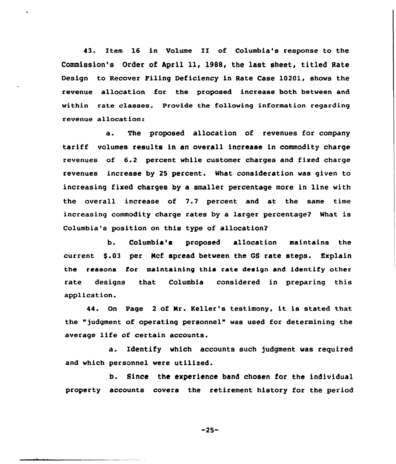43. 1tem 16 in Volume II of Columbia's response to the Commission's Order of April ll, 1988, the last sheet, titled Rate Design to Recover Filing Deficiency in Rate Case 10201, shows the revenue allocation for the proposed increase both between and within rate classes. Provide the following information regarding revenue allocation:

a. The proposed allocation of revenues for company tariff volumes results in an overall increase in commodity charge revenues of 6.2 percent while customer charges and fixed charge revenues increase by 25 percent. What consideration was given to increasing fixed charges by a smaller percentage more in line with the overall increase of 7.7 percent and at the same time increasing commodity charge rates by a larger percentage? What is Columbia's position on this type of allocation7

b. Columbia's proposed allocation maintains the current \$.03 per Mcf spread between the GS rate steps. Explain the reasons for maintaining this rate design and identify other rate designs that Columbia considered in preparing this application.

44. On Page <sup>2</sup> of Nr. Keller's testimony, it is stated that the ")udgment of operating personnel" was used for determining the average life of certain accounts.

a. Identify which accounts such judgment was required and which personnel were utilized.

b. Since the experience band chosen for the individual property accounts covers the retirement history for the period

 $-25-$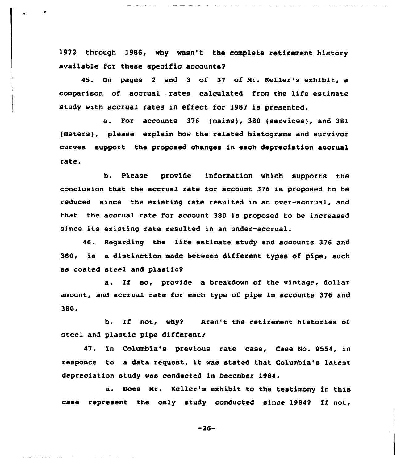1972 through 1986, why vasn't the complete retirement history available for these specific accounts?

45. On pages <sup>2</sup> and 3 of 37 of Mr. Keller's exhibit, a comparison of accrual rates calculated from the life estimate study with accrual rates in effect for 1987 is presented.

a. For accounts <sup>376</sup> (mains), <sup>380</sup> (services), and 381 (meters), please explain how the related histograms and survivor curves support the proposed changes in each depreciation accrual rate.

b. Please provide information which supports the conclusion that the accrual rate for account 376 is proposed to be reduced since the existing rate resulted in an over-accrual, and that the accrual rate for account 380 is proposed to be increased since its existing rate resulted in an under-accrual.

46. Regarding the life estimate study and accounts 376 and 380, is a distinction made between different types of pipe, such as coated steel and plastic?

a. If so, provide a breakdown of the vintage, dollar amount, and accrual rate for each type of pipe in accounts 376 and 380.

b. If not, why? Aren't the retirement histories of steel and plastic pipe different?

47. In Columbia's previous rate case, Case No. 9554, in response to <sup>a</sup> data request, it was stated that Columbia's latest depreciation study was conducted in December 1984.

a. Does Mr. Keller's exhibit to the testimony in this case represent the only study conducted since 1984? If not,

-26-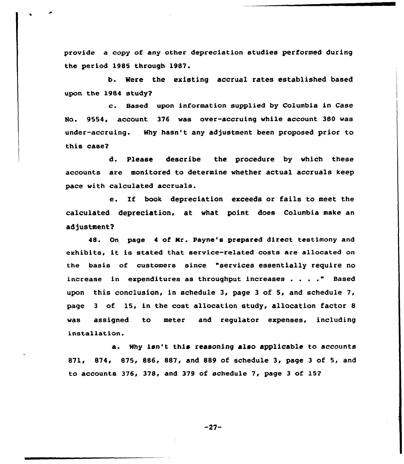provide a copy of any other depreciation studies performed during the period 1985 through 1987.

b. Were the existing accrual rates established based upon the 1984 study2

c. Based upon information supplied by Columbia in Case No. 9554, account 376 was over-accruing while account 380 was under-accruing. Why hasn't any adjustment been proposed prior to this case2

d. Please describe the procedure by which these accounts are monitored to determine whether actual accruals keep pace with calculated accruals.

e. If book depreciation exceeds or fails to meet the calculated depreciation, at what point does Columbia make an adjustment?

48. On page <sup>4</sup> of Mr. Payne's prepared direct testimony and exhibits, it is stated that service-related costs are allocated on the basis of customers since "services essentially require no increase in expenditures as throughput increases . . . ." Based upon this conclusion, in schedule 3, page 3 of 5, and schedule 7, page <sup>3</sup> of 15, in the cost allocation study, allocation factor 8 was assigned to meter and regulator expenses, including installation.

a. Why isn't this reasoning also applicable to accounts 871< 874< 875, 886, 887, and 889 of schedule 3, page 3 of 5, and to accounts 376, 378, and 379 of schedule 7, page 3 of 152

 $-27-$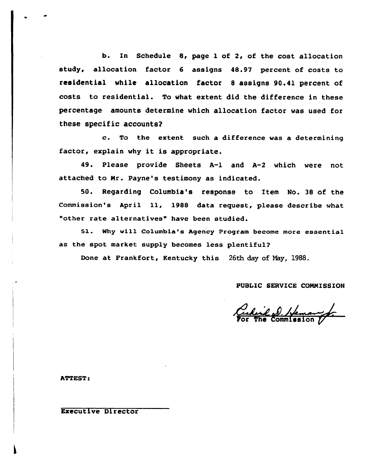b. In Schedule 8, page 1 of 2, of the cost allocation study, allocation factor 6 assigns 48.97 percent of costs to residential while allocation factor 8 assigns 90.41 percent of costs to residential. To what extent did the difference in these percentage amounts determine which allocation factor was used for these specific accounts'.

 $\mathbf{c}$ . To the extent such a difference was a determining factor, explain why it is appropriate.

49. Please provide Sheets A-1 and A-2 which were not attached to Mr. Payne's testimony as indicated.

50. Regarding Columbia's response to Item No. 38 of the Commission's April ll, <sup>1988</sup> data request, please describe what "other rate alternatives" have been studied.

51. Why will Columbia's Agency Program become more essential as the spot market supply becomes less plentiful2

Done at Frankfort, Kentucky this 26th day of Nay, 1988.

## PUBIIC SERVICE COMMISSION

Cechail D. Hemany

**ATTEST:** 

Executive Director